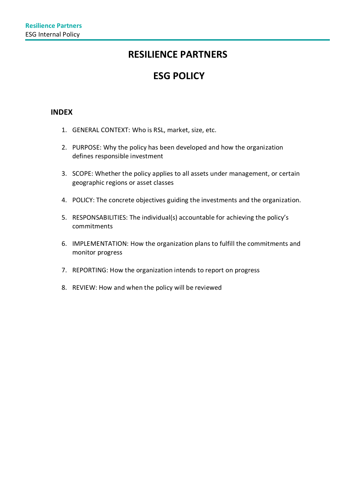## **RESILIENCE PARTNERS**

# **ESG POLICY**

## **INDEX**

- 1. GENERAL CONTEXT: Who is RSL, market, size, etc.
- 2. PURPOSE: Why the policy has been developed and how the organization defines responsible investment
- 3. SCOPE: Whether the policy applies to all assets under management, or certain geographic regions or asset classes
- 4. POLICY: The concrete objectives guiding the investments and the organization.
- 5. RESPONSABILITIES: The individual(s) accountable for achieving the policy's commitments
- 6. IMPLEMENTATION: How the organization plans to fulfill the commitments and monitor progress
- 7. REPORTING: How the organization intends to report on progress
- 8. REVIEW: How and when the policy will be reviewed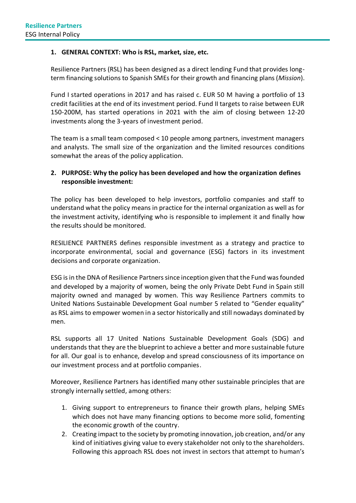#### **1. GENERAL CONTEXT: Who is RSL, market, size, etc.**

Resilience Partners (RSL) has been designed as a direct lending Fund that provides longterm financing solutions to Spanish SMEs for their growth and financing plans(*Mission*).

Fund I started operations in 2017 and has raised c. EUR 50 M having a portfolio of 13 credit facilities at the end of its investment period. Fund II targets to raise between EUR 150-200M, has started operations in 2021 with the aim of closing between 12-20 investments along the 3-years of investment period.

The team is a small team composed < 10 people among partners, investment managers and analysts. The small size of the organization and the limited resources conditions somewhat the areas of the policy application.

#### **2. PURPOSE: Why the policy has been developed and how the organization defines responsible investment:**

The policy has been developed to help investors, portfolio companies and staff to understand what the policy means in practice for the internal organization as well as for the investment activity, identifying who is responsible to implement it and finally how the results should be monitored.

RESILIENCE PARTNERS defines responsible investment as a strategy and practice to incorporate environmental, social and governance (ESG) factors in its investment decisions and corporate organization.

ESG is in the DNA of Resilience Partners since inception given that the Fund was founded and developed by a majority of women, being the only Private Debt Fund in Spain still majority owned and managed by women. This way Resilience Partners commits to United Nations Sustainable Development Goal number 5 related to "Gender equality" as RSL aims to empower women in a sector historically and still nowadays dominated by men.

RSL supports all 17 United Nations Sustainable Development Goals (SDG) and understands that they are the blueprint to achieve a better and more sustainable future for all. Our goal is to enhance, develop and spread consciousness of its importance on our investment process and at portfolio companies.

Moreover, Resilience Partners has identified many other sustainable principles that are strongly internally settled, among others:

- 1. Giving support to entrepreneurs to finance their growth plans, helping SMEs which does not have many financing options to become more solid, fomenting the economic growth of the country.
- 2. Creating impact to the society by promoting innovation, job creation, and/or any kind of initiatives giving value to every stakeholder not only to the shareholders. Following this approach RSL does not invest in sectors that attempt to human's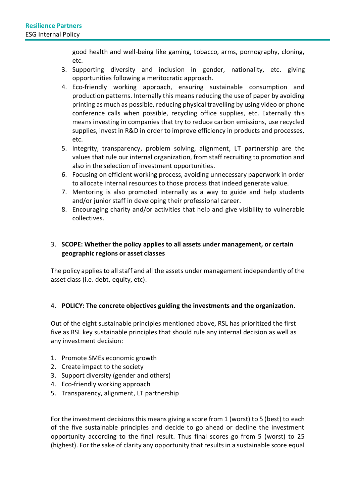good health and well-being like gaming, tobacco, arms, pornography, cloning, etc.

- 3. Supporting diversity and inclusion in gender, nationality, etc. giving opportunities following a meritocratic approach.
- 4. Eco-friendly working approach, ensuring sustainable consumption and production patterns. Internally this means reducing the use of paper by avoiding printing as much as possible, reducing physical travelling by using video or phone conference calls when possible, recycling office supplies, etc. Externally this means investing in companies that try to reduce carbon emissions, use recycled supplies, invest in R&D in order to improve efficiency in products and processes, etc.
- 5. Integrity, transparency, problem solving, alignment, LT partnership are the values that rule our internal organization, from staff recruiting to promotion and also in the selection of investment opportunities.
- 6. Focusing on efficient working process, avoiding unnecessary paperwork in order to allocate internal resources to those process that indeed generate value.
- 7. Mentoring is also promoted internally as a way to guide and help students and/or junior staff in developing their professional career.
- 8. Encouraging charity and/or activities that help and give visibility to vulnerable collectives.

#### 3. **SCOPE: Whether the policy applies to all assets under management, or certain geographic regions or asset classes**

The policy applies to all staff and all the assets under management independently of the asset class (i.e. debt, equity, etc).

#### 4. **POLICY: The concrete objectives guiding the investments and the organization.**

Out of the eight sustainable principles mentioned above, RSL has prioritized the first five as RSL key sustainable principles that should rule any internal decision as well as any investment decision:

- 1. Promote SMEs economic growth
- 2. Create impact to the society
- 3. Support diversity (gender and others)
- 4. Eco-friendly working approach
- 5. Transparency, alignment, LT partnership

For the investment decisions this means giving a score from 1 (worst) to 5 (best) to each of the five sustainable principles and decide to go ahead or decline the investment opportunity according to the final result. Thus final scores go from 5 (worst) to 25 (highest). For the sake of clarity any opportunity that results in a sustainable score equal